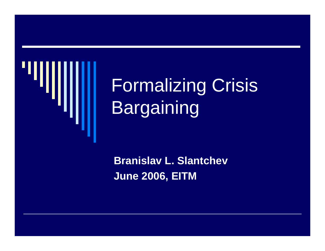

# Formalizing Crisis Bargaining

**Branislav L. Slantchev June 2006, EITM**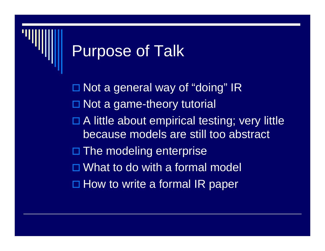### Purpose of Talk

□ Not a general way of "doing" IR □ Not a game-theory tutorial □ A little about empirical testing; very little because models are still too abstract □ The modeling enterprise □ What to do with a formal model □ How to write a formal IR paper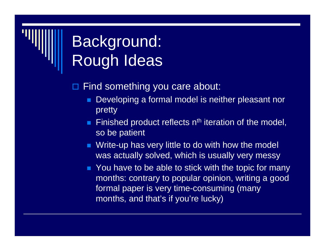## Background: Rough Ideas

### $\blacksquare$ Find something you care about:

- п Developing a formal model is neither pleasant nor pretty
- Finished product reflects n<sup>th</sup> iteration of the model, so be patient
- **Notakilah Write-up has very little to do with how the model** was actually solved, which is usually very messy
- **Theore You have to be able to stick with the topic for many** months: contrary to popular opinion, writing a good formal paper is very time-consuming (many months, and that's if you're lucky)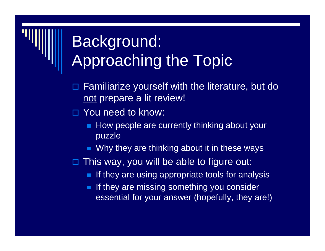## Background: Approaching the Topic

- $\blacksquare$  Familiarize yourself with the literature, but do not prepare a lit review!
- □ You need to know:
	- How people are currently thinking about your puzzle
	- Why they are thinking about it in these ways
- $\blacksquare$  This way, you will be able to figure out:
	- $\blacksquare$  If they are using appropriate tools for analysis
	- If they are missing something you consider essential for your answer (hopefully, they are!)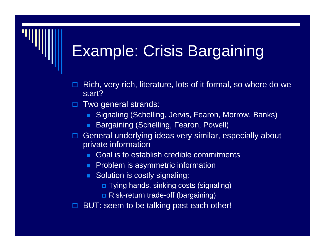### Example: Crisis Bargaining

- $\blacksquare$  Rich, very rich, literature, lots of it formal, so where do we start?
- $\blacksquare$  Two general strands:
	- Signaling (Schelling, Jervis, Fearon, Morrow, Banks)
	- Bargaining (Schelling, Fearon, Powell)
- □ General underlying ideas very similar, especially about private information
	- Goal is to establish credible commitments
	- **Problem is asymmetric information**
	- **Solution is costly signaling:** 
		- Tying hands, sinking costs (signaling)
		- Risk-return trade-off (bargaining)

 $\blacksquare$ BUT: seem to be talking past each other!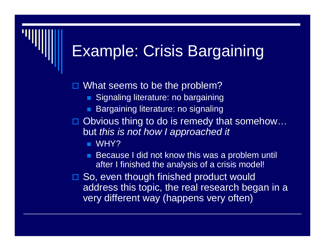### Example: Crisis Bargaining

 $\blacksquare$ What seems to be the problem?

- **Signaling literature: no bargaining**
- P. Bargaining literature: no signaling
- □ Obvious thing to do is remedy that somehow... but *this is not how I approached it*

WHY?

- Because I did not know this was a problem until after I finished the analysis of a crisis model!
- □ So, even though finished product would address this topic, the real research began in a very different way (happens very often)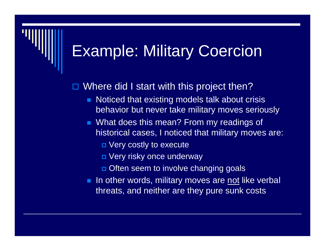### Example: Military Coercion

 $\blacksquare$ Where did I start with this project then?

- п Noticed that existing models talk about crisis behavior but never take military moves seriously
- What does this mean? From my readings of historical cases, I noticed that military moves are:
	- Very costly to execute
	- Very risky once underway
	- **□** Often seem to involve changing goals
- **IF a** In other words, military moves are not like verbal threats, and neither are they pure sunk costs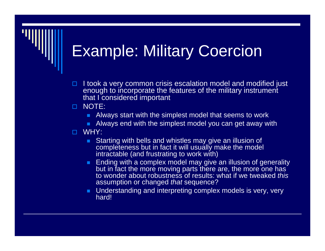### Example: Military Coercion

□  $\Box$  I took a very common crisis escalation model and modified just enough to incorporate the features of the military instrument that I considered important

### $\Box$ NOTE:

- **Always start with the simplest model that seems to work**
- **Always end with the simplest model you can get away with**

### П. WHY:

- **Starting with bells and whistles may give an illusion of** completeness but in fact it will usually make the model intractable (and frustrating to work with)
- **Ending with a complex model may give an illusion of generality** but in fact the more moving parts there are, the more one has to wonder about robustness of results: what if we tweaked *this* assumption or changed *that* sequence?
- **Understanding and interpreting complex models is very, very** hard!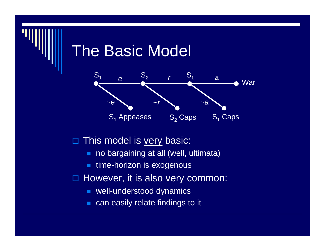### The Basic Model



### □ This model is very basic:

- **no bargaining at all (well, ultimata)**
- time-horizon is exogenous
- □ However, it is also very common:
	- well-understood dynamics
	- п can easily relate findings to it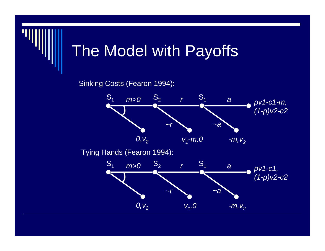## The Model with Payoffs

Sinking Costs (Fearon 1994):

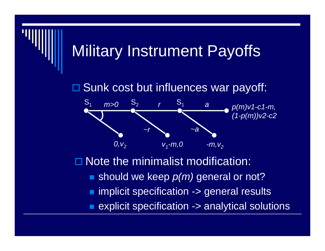### Military Instrument Payoffs

□ Sunk cost but influences war payoff:



П. Note the minimalist modification:

- should we keep *p(m)* general or not?
- implicit specification -> general results
- explicit specification -> analytical solutions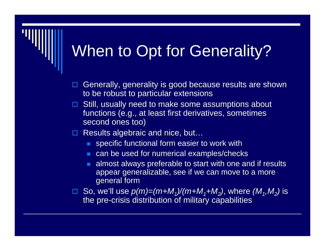### When to Opt for Generality?

- $\blacksquare$  Generally, generality is good because results are shown to be robust to particular extensions
- $\Box$  Still, usually need to make some assumptions about functions (e.g., at least first derivatives, sometimes second ones too)
- □ Results algebraic and nice, but...
	- **SPECIFIC functional form easier to work with**
	- **EXTERGHTM** can be used for numerical examples/checks
	- almost always preferable to start with one and if results appear generalizable, see if we can move to a more general form
- □ So, we'll use  $p(m) = (m + M_1)/(m + M_1 + M_2)$ , where  $(M_1, M_2)$  is the pre-crisis distribution of military capabilities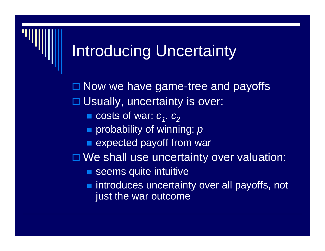### Introducing Uncertainty

□ Now we have game-tree and payoffs □ Usually, uncertainty is over: **c** costs of war:  $c_1$ ,  $c_2$ ■ probability of winning: *p* **Expected payoff from war** □ We shall use uncertainty over valuation:

- **Seems quite intuitive**
- **numified introduces uncertainty over all payoffs, not** just the war outcome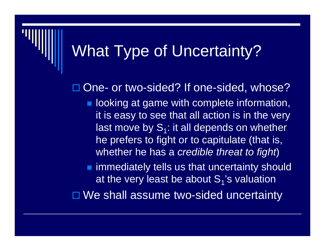### What Type of Uncertainty?

□ One- or two-sided? If one-sided, whose?

**Delachter 10 and 10 and 10 and 10 and 10 and 10 and 10 and 10 and 10 and 10 and 10 and 10 and 10 and 10 and 10 and 10 and 10 and 10 and 10 and 10 and 10 and 10 and 10 and 10 and 10 and 10 and 10 and 10 and 10 and 10 and 1** it is easy to see that all action is in the very last move by  $S_1$ : it all depends on whether he prefers to fight or to capitulate (that is, whether he has a *credible threat to fight*)

**n** immediately tells us that uncertainty should at the very least be about  $S_1$ 's valuation

□ We shall assume two-sided uncertainty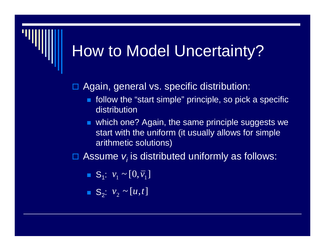### How to Model Uncertainty?

### $\blacksquare$ Again, general vs. specific distribution:

- ٠ follow the "start simple" principle, so pick a specific distribution
- п which one? Again, the same principle suggests we start with the uniform (it usually allows for simple arithmetic solutions)

 $\blacksquare$  $\Box$  Assume  $v_i$  is distributed uniformly as follows:

$$
\bullet \ \mathsf{S}_1: \ v_1 \sim [0, \overline{v}_1]
$$

$$
\bullet \ \ S_2: \ v_2 \sim [u, t]
$$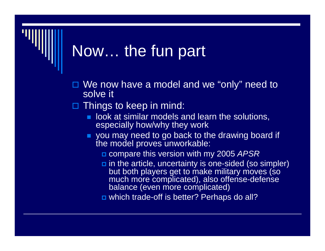## Now… the fun part

- □ We now have a model and we "only" need to solve it
- $\blacksquare$  Things to keep in mind:
	- ш look at similar models and learn the solutions, especially how/why they work
	- **you may need to go back to the drawing board if** the model proves unworkable:
		- compare this version with my 2005 *APSR*
		- in the article, uncertainty is one-sided (so simpler) but both players get to make military moves (so much more complicated), also offense-defense balance (even more complicated)
		- which trade-off is better? Perhaps do all?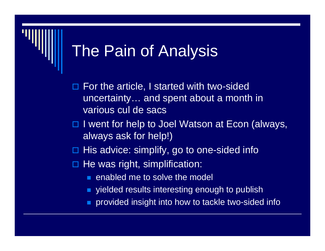- п For the article, I started with two-sided uncertainty… and spent about a month in various cul de sacs
- □ I went for help to Joel Watson at Econ (always, always ask for help!)
- $\blacksquare$ His advice: simplify, go to one-sided info
- □ He was right, simplification:
	- **E** enabled me to solve the model
	- yielded results interesting enough to publish
	- provided insight into how to tackle two-sided info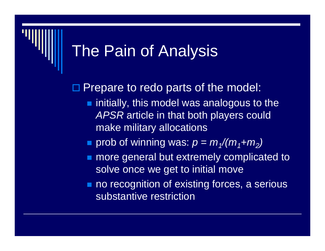□ Prepare to redo parts of the model:

- $\blacksquare$  initially, this model was analogous to the *APSR* article in that both players could make military allocations
- prob of winning was:  $p = m_1/(m_1 + m_2)$
- **number 10 more general but extremely complicated to** solve once we get to initial move
- no recognition of existing forces, a serious substantive restriction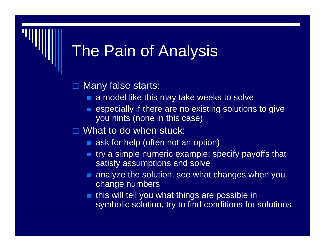◻ Many false starts:

- **a** model like this may take weeks to solve
- P. especially if there are no existing solutions to give you hints (none in this case)

### □ What to do when stuck:

- **a** ask for help (often not an option)
- try a simple numeric example: specify payoffs that satisfy assumptions and solve
- **analyze the solution, see what changes when you** change numbers
- P. this will tell you what things are possible in symbolic solution, try to find conditions for solutions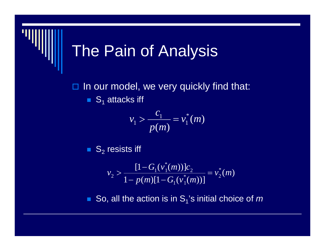$\Box$  In our model, we very quickly find that:  $\blacksquare$  S<sub>1</sub> attacks iff

$$
v_1 > \frac{c_1}{p(m)} = v_1^*(m)
$$

 $\blacksquare$   $\mathsf{S}_2$  resists iff

$$
v_2 > \frac{[1 - G_1(v_1^*(m))]c_2}{1 - p(m)[1 - G_1(v_1^*(m))]} = v_2^*(m)
$$

 $\blacksquare$  So, all the action is in S<sub>1</sub>'s initial choice of  $m$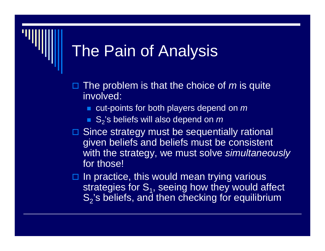- $\Box$ □ The problem is that the choice of *m* is quite involved:
	- cut-points for both players depend on *m*
	- S<sub>2</sub>'s beliefs will also depend on *m*
- **□ Since strategy must be sequentially rational** given beliefs and beliefs must be consistent with the strategy, we must solve *simultaneously* for those!
- $\Box$  In practice, this would mean trying various strategies for  $S_1$ , seeing how they would affect  $\mathsf{S}_2$ 's beliefs, and then checking for equilibrium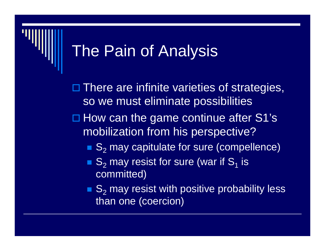□ There are infinite varieties of strategies, so we must eliminate possibilities  $\Box$  How can the game continue after S1's mobilization from his perspective?

- $\blacksquare$  S<sub>2</sub> may capitulate for sure (compellence)
- $S_2$  may resist for sure (war if  $S_1$  is committed)
- $\blacksquare$  S<sub>2</sub> may resist with positive probability less than one (coercion)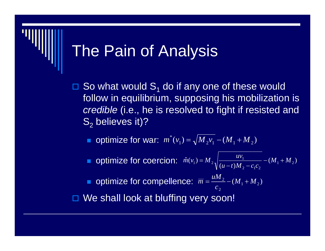- $\blacksquare$  $\square$  So what would  $S_1$  do if any one of these would follow in equilibrium, supposing his mobilization is *credible* (i.e., he is resolved to fight if resisted and  $\mathsf{S}_2$  believes it)?
	- **•** optimize for war:  $m^{\dagger}(v_1) = \sqrt{M_2 v_1 (M_1 + M_2)}$ \* $m'(v_1) = \sqrt{M_2 v_1 - (M_1 + M_2)}$
	- optimize for coercion:  $\hat{m}(v_1) = M_2 \sqrt{\frac{uv_1}{(u-t)M_2 c_1c_2}} (M_1 + M_2)$  $N_1$ ) =  $M_2 \sqrt{\frac{uv_1}{(u-t)M_2 - c_1c_2}} - (M_1 + M_2)$  $\hat{m}(v_1) = M_2 \sqrt{\frac{uv_1}{(u-t)M_2 - c_1c_2}} - (M_1 +$ =
	- optimize for compellence:  $\overline{m} = \frac{am_2}{2} (M_1 + M_2)$ 2 $\frac{M_{2}}{C_{2}} - (M_{1} + M)$  $\overline{m} = \frac{uM_2}{m} - (M_1 +$

□ We shall look at bluffing very soon!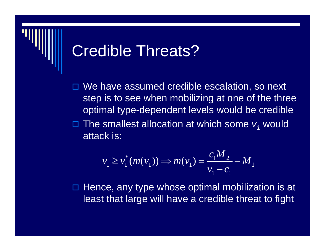### Credible Threats?

 $\blacksquare$ We have assumed credible escalation, so next step is to see when mobilizing at one of the three optimal type-dependent levels would be credible

 $\blacksquare$  $\square$  The smallest allocation at which some  $v_j$  would attack is:

$$
v_1 \ge v_1^* (m(v_1)) \Rightarrow m(v_1) = \frac{c_1 M_2}{v_1 - c_1} - M_1
$$

 $\blacksquare$  Hence, any type whose optimal mobilization is at least that large will have a credible threat to fight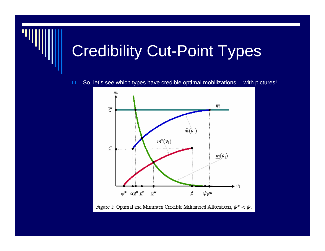# Credibility Cut-Point Types



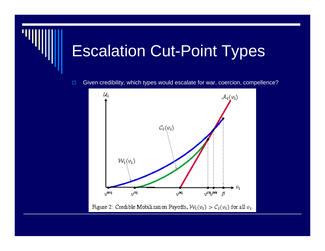## Escalation Cut-Point Types

 $\Box$ Given credibility, which types would escalate for war, coercion, compellence?

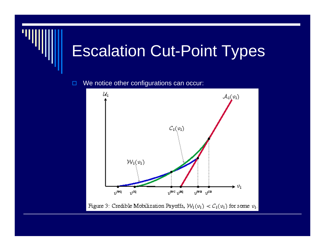## Escalation Cut-Point Types



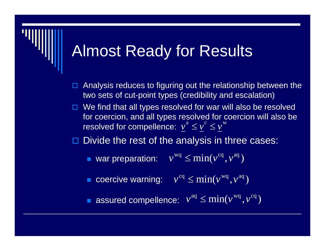### Almost Ready for Results

- $\Box$  Analysis reduces to figuring out the relationship between the two sets of cut-point types (credibility and escalation)
- $\Box$  We find that all types resolved for war will also be resolved for coercion, and all types resolved for coercion will also be resolved for compellence:  $\boldsymbol{\nu}^{\boldsymbol{a}} \leq \boldsymbol{\nu}^{\mathrm{c}} \leq \boldsymbol{\nu}^{\mathrm{w}}$

 $\blacksquare$ Divide the rest of the analysis in three cases:

- var preparation:  $v^{wq} \leq min(v^{cq}, v^{aq})$
- coercive warning:  $v^{\text{cq}} \leq \min(v^{\text{wq}}, v^{\text{aq}})$

P. **assured compellence:**  $v^{aq} \leq \min(v^{wq}, v^{cq})$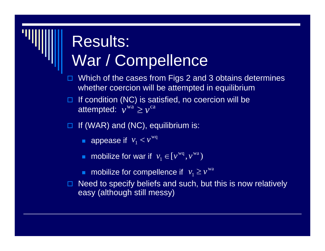### Results: War / Compellence

- $\Box$  Which of the cases from Figs 2 and 3 obtains determines whether coercion will be attempted in equilibrium
- $\Box$ If condition (NC) is satisfied, no coercion will be attempted:  $\mathbb{v}^{\mathrm{wa}} \geq \mathbb{v}^{\mathrm{ca}}$
- 0 If (WAR) and (NC), equilibrium is:
	- **appease if**  $v_1 < v^{wq}$  $v_1 < v$
	- **n** mobilize for war if  $v_1 \in [v^{wq}, v^{wa}]$
	- **n** mobilize for compellence if  $v_1 \geq v^{wa}$
- 0 Need to specify beliefs and such, but this is now relatively easy (although still messy)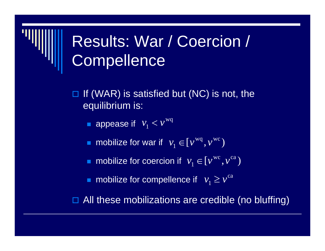### Results: War / Coercion / **Compellence**

- $\blacksquare$  If (WAR) is satisfied but (NC) is not, the equilibrium is:
	- **appease if**  $v_1 < v^{wq}$  $v_1 < v$
	- **n** mobilize for war if  $v_1 \in [v^{\text{wq}}, v^{\text{wc}})$
	- mobilize for coercion if  $v_1 \in [v^{\mathrm{wc}}, v^{\mathrm{ca}})$
	- **n** mobilize for compellence if  $v_1 \ge v^{ca}$

 $\blacksquare$ All these mobilizations are credible (no bluffing)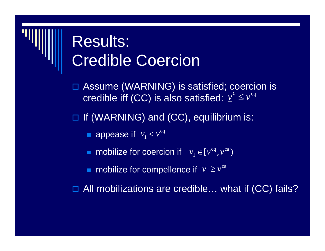### Results: Credible Coercion

- $\blacksquare$  Assume (WARNING) is satisfied; coercion is credible iff (CC) is also satisfied:  $\nu^{\text{c}} \leq \nu^{\text{cq}}$
- □ If (WARNING) and (CC), equilibrium is:
	- **appease if**  $v_1 < v^{cq}$  $v_{1} < v$
	- **n** mobilize for coercion if  $v_1 \in [v^{\text{eq}}, v^{\text{ca}})$
	- **n** mobilize for compellence if  $v_1 \geq v^{ca}$

 $\Box$ All mobilizations are credible... what if (CC) fails?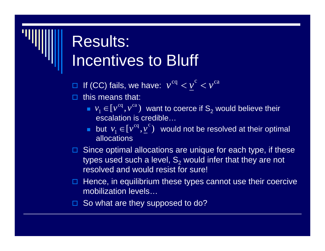### Results: Incentives to Bluff

 $\Box$  If (CC) fails, we have:  $v^{\text{cq}} < v^{\text{ca}}$ 

- $\Box$  this means that:
	- $v_1 \in [v^{cq}, v^{ca})$  want to coerce if S<sub>2</sub> would believe their escalation is credible…
	- **•** but  $v_1 \in [v^{cq}, v^c)$  would not be resolved at their optimal allocations
- $\Box$  Since optimal allocations are unique for each type, if these types used such a level,  $\mathsf{S}_2$  would infer that they are not resolved and would resist for sure!
- $\Box$  Hence, in equilibrium these types cannot use their coercive mobilization levels…
- □ So what are they supposed to do?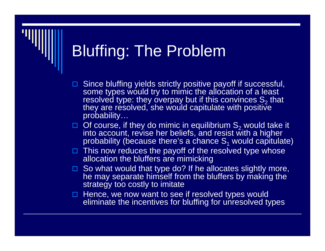# Bluffing: The Problem

- $\Box$  Since bluffing yields strictly positive payoff if successful, some types would try to mimic the allocation of a least resolved type: they overpay but if this convinces  $\mathsf{S}_2$ resolved type: they overpay but if this convinces S<sub>2</sub> that<br>they are resolved, she would capitulate with positive probability…
- $\Box$  Of course, if they do mimic in equilibrium S<sub>2</sub> into account, revise her beliefs, and resist with a higher probability (because there's a chance  $\mathsf{S}_\mathsf{1}$  would capitulate)
- $\Box$  This now reduces the payoff of the resolved type whose allocation the bluffers are mimicking
- $\Box$  So what would that type do? If he allocates slightly more, he may separate himself from the bluffers by making the strategy too costly to imitate
- $\Box$  Hence, we now want to see if resolved types would eliminate the incentives for bluffing for unresolved types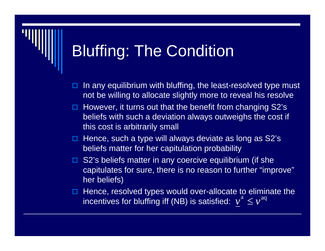## Bluffing: The Condition

- $\Box$  In any equilibrium with bluffing, the least-resolved type must not be willing to allocate slightly more to reveal his resolve
- □ However, it turns out that the benefit from changing S2's beliefs with such a deviation always outweighs the cost if this cost is arbitrarily small
- $\Box$  Hence, such a type will always deviate as long as S2's beliefs matter for her capitulation probability
- □ S2's beliefs matter in any coercive equilibrium (if she capitulates for sure, there is no reason to further "improve" her beliefs)
- $\Box$  Hence, resolved types would over-allocate to eliminate the incentives for bluffing iff (NB) is satisfied:  $v^{\mathrm{a}} \leq v^{\mathrm{aq}}$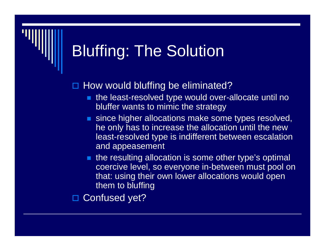# Bluffing: The Solution

### 0 How would bluffing be eliminated?

- the least-resolved type would over-allocate until no bluffer wants to mimic the strategy
- **since higher allocations make some types resolved,** he only has to increase the allocation until the new least-resolved type is indifferent between escalation and appeasement
- **the resulting allocation is some other type's optimal** coercive level, so everyone in-between must pool on that: using their own lower allocations would open them to bluffing

 $\blacksquare$ Confused yet?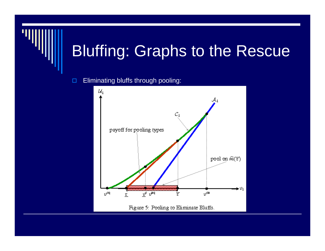## Bluffing: Graphs to the Rescue

#### $\Box$ Eliminating bluffs through pooling:

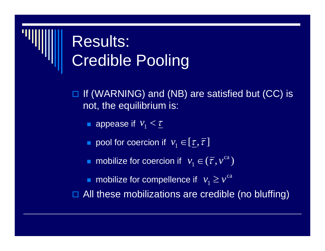# Results: Credible Pooling

- $\blacksquare$  If (WARNING) and (NB) are satisfied but (CC) is not, the equilibrium is:
	- **a** appease if  $v_1 < \underline{\tau}$
	- **pool for coercion if**  $v_1 \in [\underline{\tau}, \overline{\tau}]$
	- **n** mobilize for coercion if  $v_1 \in (\overline{\tau}, v^{\text{ca}})$
	- **n** mobilize for compellence if  $v_1 \ge v^{ca}$
- $\blacksquare$ All these mobilizations are credible (no bluffing)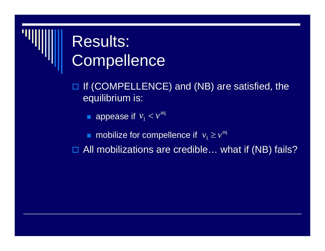#### Results: **Compellence**

□ If (COMPELLENCE) and (NB) are satisfied, the equilibrium is:

**appease if**  $v_1 < v^{aq}$  $v_1 < v$ 

п **n** mobilize for compellence if  $v_1 \geq v^{\text{aq}}$  $v_1 \geq v$ 

□ All mobilizations are credible... what if (NB) fails?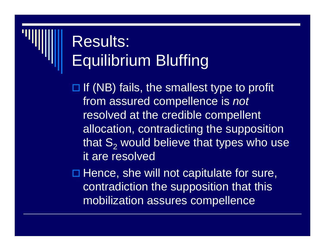# Results: Equilibrium Bluffing

 $\Box$  If (NB) fails, the smallest type to profit from assured compellence is *not* resolved at the credible compellent allocation, contradicting the supposition that  $\mathsf{S}_2$  would believe that types who use it are resolved

 $\square$  Hence, she will not capitulate for sure, contradiction the supposition that this mobilization assures compellence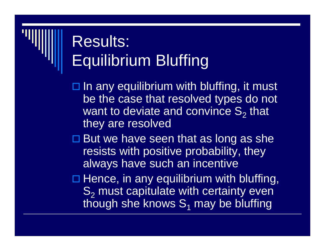# Results: Equilibrium Bluffing

 $\square$  In any equilibrium with bluffing, it must be the case that resolved types do not want to deviate and convince  $\mathsf{S}_2$  that they are resolved

- $\square$  But we have seen that as long as she resists with positive probability, they always have such an incentive
- $\square$  Hence, in any equilibrium with bluffing,  $\mathbf{S}_{2}$  must capitulate with certainty even though she knows  $\mathbf{S}_1$  may be bluffing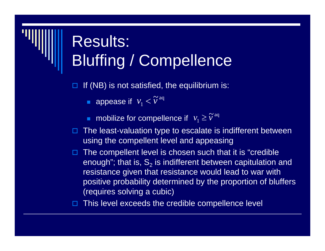# Results: Bluffing / Compellence

 $\Box$ If (NB) is not satisfied, the equilibrium is:

- **appease if**  $v_1 < \widetilde{v}$ <sup>aq</sup> 1 $v_{1} < \widetilde{v}$
- **n** mobilize for compellence if  $v_1 \geq \widetilde{v}^{aq}$ 1 $v_{1} \geq \widetilde{v}$
- $\blacksquare$  The least-valuation type to escalate is indifferent between using the compellent level and appeasing
- 0 The compellent level is chosen such that it is "credible enough"; that is,  $\mathsf{S}_2$  is indifferent between capitulation and resistance given that resistance would lead to war with positive probability determined by the proportion of bluffers (requires solving a cubic)

 $\Box$ This level exceeds the credible compellence level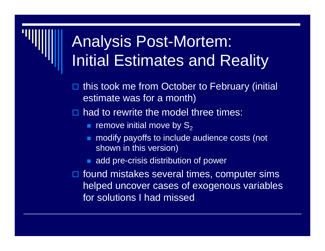## Analysis Post-Mortem: Initial Estimates and Reality

- $\blacksquare$  this took me from October to February (initial estimate was for a month)
- $\blacksquare$  had to rewrite the model three times:
	- **F** remove initial move by  $\mathsf{S}_2$
	- **nodify payoffs to include audience costs (not** shown in this version)
	- **add pre-crisis distribution of power**
- $\Box$  found mistakes several times, computer sims helped uncover cases of exogenous variables for solutions I had missed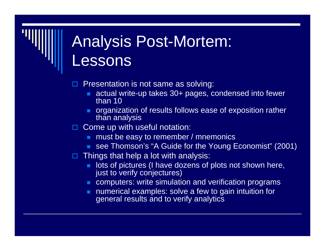# Analysis Post-Mortem: Lessons

- $\blacksquare$  Presentation is not same as solving:
	- actual write-up takes 30+ pages, condensed into fewer than 10
	- **organization of results follows ease of exposition rather** than analysis
- □ Come up with useful notation:
	- **now must be easy to remember / mnemonics**
	- see Thomson's "A Guide for the Young Economist" (2001)
- Things that help a lot with analysis:
	- lots of pictures (I have dozens of plots not shown here, just to verify conjectures)
	- **EX computers: write simulation and verification programs**
	- **numerical examples: solve a few to gain intuition for** general results and to verify analytics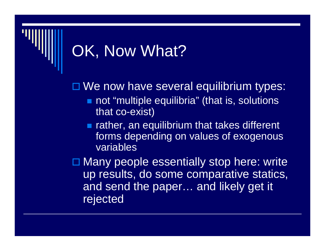# OK, Now What?

□ We now have several equilibrium types:

- not "multiple equilibria" (that is, solutions that co-exist)
- **Ther, an equilibrium that takes different** forms depending on values of exogenous variables

□ Many people essentially stop here: write up results, do some comparative statics, and send the paper… and likely get it rejected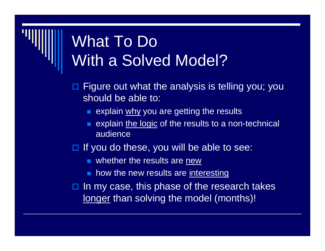## What To Do With a Solved Model?

- $\blacksquare$  Figure out what the analysis is telling you; you should be able to:
	- **E** explain why you are getting the results
	- P. explain the logic of the results to a non-technical audience
- $\Box$  If you do these, you will be able to see:
	- **Notable 1** whether the results are new
	- ш how the new results are interesting
- ◻ In my case, this phase of the research takes longer than solving the model (months)!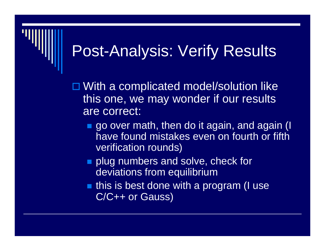## Post-Analysis: Verify Results

□ With a complicated model/solution like this one, we may wonder if our results are correct:

- **go over math, then do it again, and again (I** have found mistakes even on fourth or fifth verification rounds)
- **plug numbers and solve, check for** deviations from equilibrium
- **this is best done with a program (I use** C/C++ or Gauss)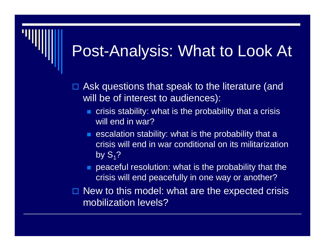#### Post-Analysis: What to Look At

- $\blacksquare$  Ask questions that speak to the literature (and will be of interest to audiences):
	- $\blacksquare$  crisis stability: what is the probability that a crisis will end in war?
	- **E** escalation stability: what is the probability that a crisis will end in war conditional on its militarization by  $S_1$ ?
	- peaceful resolution: what is the probability that the crisis will end peacefully in one way or another?
- $\blacksquare$  New to this model: what are the expected crisis mobilization levels?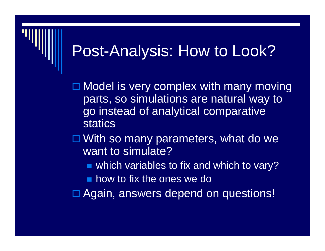#### Post-Analysis: How to Look?

□ Model is very complex with many moving parts, so simulations are natural way to go instead of analytical comparative statics

□ With so many parameters, what do we want to simulate?

■ which variables to fix and which to vary?

**how to fix the ones we do** 

□ Again, answers depend on questions!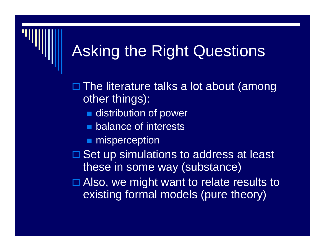#### Asking the Right Questions

□ The literature talks a lot about (among other things):

- **distribution of power**
- **Demokance of interests**
- **nisperception**
- **□ Set up simulations to address at least** these in some way (substance)
- □ Also, we might want to relate results to existing formal models (pure theory)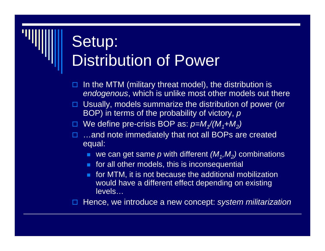# Setup: **Distribution of Power**

- $\blacksquare$  In the MTM (military threat model), the distribution is *endogenous*, which is unlike most other models out there
- □ Usually, models summarize the distribution of power (or BOP) in terms of the probability of victory, *p*
- We define pre-crisis BOP as: *p=M1/(M1+M2)*
- □ …and note immediately that not all BOPs are created equal:
	- we can get same  $\rho$  with different  $(M_1,M_2)$  combinations
	- **for all other models, this is inconsequential**
	- п. for MTM, it is not because the additional mobilization would have a different effect depending on existing levels…

 $\Box$ Hence, we introduce a new concept: *system militarization*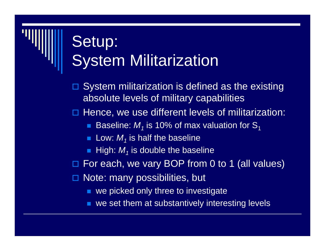# Setup: System Militarization

- $\blacksquare$  System militarization is defined as the existing absolute levels of military capabilities
- $\Box$  Hence, we use different levels of militarization:
	- $\blacksquare$  Baseline:  $\mathcal{M}_1$  is 10% of max valuation for  $\mathbf{S}_1$
	- **Low:**  $M_j$  is half the baseline
	- $\blacksquare$  High:  $M_1$  is double the baseline
- $\blacksquare$ For each, we vary BOP from 0 to 1 (all values)
- □ Note: many possibilities, but
	- **u** we picked only three to investigate
	- we set them at substantively interesting levels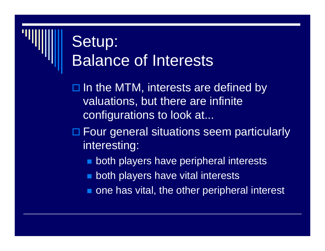## Setup: Balance of Interests

 $\square$  In the MTM, interests are defined by valuations, but there are infinite configurations to look at...

□ Four general situations seem particularly interesting:

- **Doth players have peripheral interests**
- **Doth players have vital interests**
- **n** one has vital, the other peripheral interest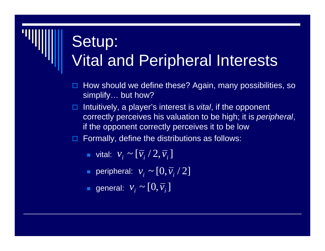## Setup: Vital and Peripheral Interests

- $\Box$  How should we define these? Again, many possibilities, so simplify… but how?
- □ Intuitively, a player's interest is *vital*, if the opponent correctly perceives his valuation to be high; it is *peripheral*, if the opponent correctly perceives it to be low
- $\Box$  Formally, define the distributions as follows:
	- **u** vital:  $\mathcal{V}_{\scriptscriptstyle{z}} \sim$  $v_i \sim [\overline{v}_i / 2, \overline{v}_i]$
	- **•** peripheral:  $v_i \thicksim$  $v_i \sim [0, \overline{v}_i / 2]$
	- **g**eneral:  $V_i$  ~  $v_i \thicksim [0, \overline{v}_i]$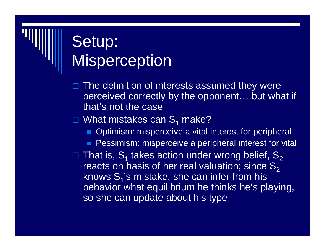#### Setup: **Misperception**

- $\blacksquare$  The definition of interests assumed they were perceived correctly by the opponent... but what if that's not the case
- $\square$  What mistakes can S<sub>1</sub> make?
	- **Optimism: misperceive a vital interest for peripheral**
	- **Pessimism: misperceive a peripheral interest for vital**
- $\Box$  That is,  $\mathsf{S}_\mathsf{1}$  takes action under wrong belief,  $\mathsf{S}_\mathsf{2}$ reacts on basis of her real valuation; since  $S_2$ knows  $S_1$ 's mistake, she can infer from his behavior what equilibrium he thinks he's playing, so she can update about his type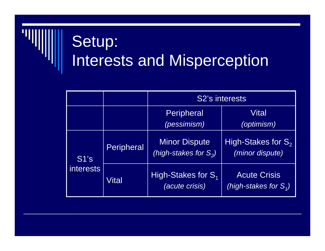# Setup: Interests and Misperception

|                       |            | S2's interests                                   |                                                 |
|-----------------------|------------|--------------------------------------------------|-------------------------------------------------|
|                       |            | <b>Peripheral</b><br>(pessimism)                 | Vitall<br>(optimism)                            |
| $ $ S1's<br>interests | Peripheral | <b>Minor Dispute</b><br>(high-stakes for $S_2$ ) | High-Stakes for $S_2$<br>(minor dispute)        |
|                       | Vital      | High-Stakes for $S_1$<br><i>(acute crisis)</i>   | <b>Acute Crisis</b><br>(high-stakes for $S_1$ ) |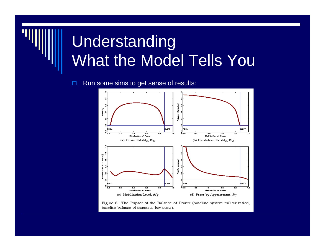## Understanding What the Model Tells You

 $\Box$ Run some sims to get sense of results:



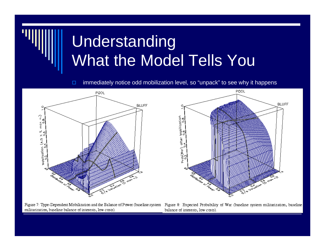# Understanding What the Model Tells You

 $\Box$ immediately notice odd mobilization level, so "unpack" to see why it happens



Figure 7: Type-Dependent Mobilization and the Balance of Power (baseline system militarization, baseline balance of interests, low costs)



Figure 8: Expected Probability of War (baseline system militarization, baseline balance of interests, low costs).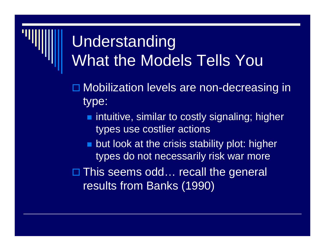#### Understanding What the Models Tells You

- □ Mobilization levels are non-decreasing in type:
	- **n** intuitive, similar to costly signaling; higher types use costlier actions
	- **Dut look at the crisis stability plot: higher** types do not necessarily risk war more

□ This seems odd… recall the general results from Banks (1990)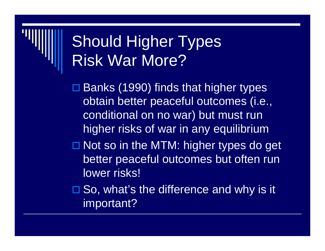#### Should Higher Types Risk War More?

□ Banks (1990) finds that higher types obtain better peaceful outcomes (i.e., conditional on no war) but must run higher risks of war in any equilibrium

□ Not so in the MTM: higher types do get better peaceful outcomes but often run lower risks!

□ So, what's the difference and why is it important?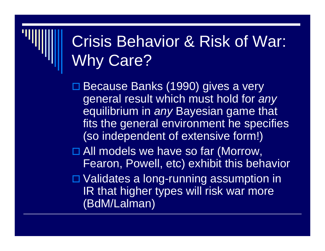# Crisis Behavior & Risk of War: Why Care?

□ Because Banks (1990) gives a very general result which must hold for *any* equilibrium in *any* Bayesian game that fits the general environment he specifies (so independent of extensive form!)

□ All models we have so far (Morrow, Fearon, Powell, etc) exhibit this behavior

□ Validates a long-running assumption in IR that higher types will risk war more (BdM/Lalman)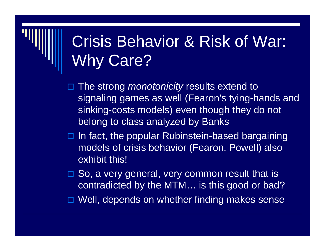## Crisis Behavior & Risk of War: Why Care?

 $\blacksquare$  The strong *monotonicity* results extend to signaling games as well (Fearon's tying-hands and sinking-costs models) even though they do not belong to class analyzed by Banks

- $\Box$  In fact, the popular Rubinstein-based bargaining models of crisis behavior (Fearon, Powell) also exhibit this!
- □ So, a very general, very common result that is contradicted by the MTM… is this good or bad?
- □ Well, depends on whether finding makes sense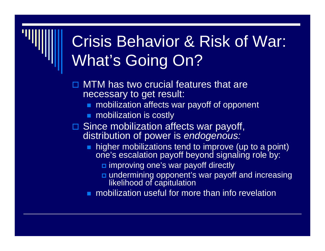# Crisis Behavior & Risk of War: What's Going On?

- $\blacksquare$  MTM has two crucial features that are necessary to get result:
	- **nobilization affects war payoff of opponent**
	- mobilization is costly
- **□ Since mobilization affects war payoff,** distribution of power is *endogenous:*
	- higher mobilizations tend to improve (up to a point) one's escalation payoff beyond signaling role by:
		- improving one's war payoff directly
		- undermining opponent's war payoff and increasing likelihood of capitulation
	- **nobilization useful for more than info revelation**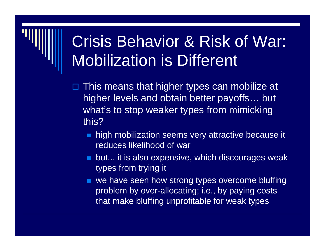# Crisis Behavior & Risk of War: Mobilization is Different

- $\blacksquare$  This means that higher types can mobilize at higher levels and obtain better payoffs… but what's to stop weaker types from mimicking this?
	- **high mobilization seems very attractive because it** reduces likelihood of war
	- **DET but... it is also expensive, which discourages weak** types from trying it
	- **we have seen how strong types overcome bluffing** problem by over-allocating; i.e., by paying costs that make bluffing unprofitable for weak types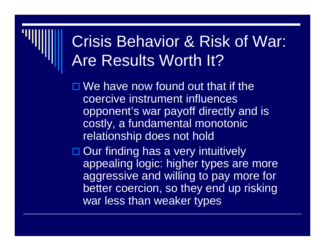#### Crisis Behavior & Risk of War: Are Results Worth It?

 $\Box$  We have now found out that if the coercive instrument influences opponent's war payoff directly and is costly, a fundamental monotonic relationship does not hold

□ Our finding has a very intuitively appealing logic: higher types are more aggressive and willing to pay more for better coercion, so they end up risking war less than weaker types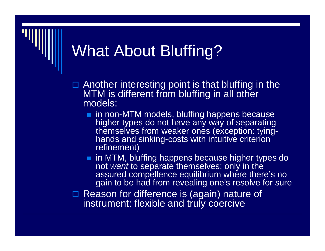# What About Bluffing?

 $\Box$  Another interesting point is that bluffing in the MTM is different from bluffing in all other models:

 $\blacksquare$  in non-MTM models, bluffing happens because higher types do not have any way of separating themselves from weaker ones (exception: tyinghands and sinking-costs with intuitive criterion refinement)

**n** in MTM, bluffing happens because higher types do not *want* to separate themselves; only in the assured compellence equilibrium where there's no gain to be had from revealing one's resolve for sure

□ Reason for difference is (again) nature of instrument: flexible and truly coercive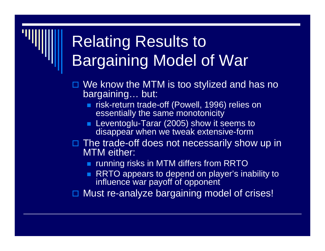# Relating Results to Bargaining Model of War

- □ We know the MTM is too stylized and has no bargaining… but:
	- **Form Sings 1996)** relies on **redig-off** (Powell, 1996) relies on essentially the same monotonicity
	- Leventoglu-Tarar (2005) show it seems to disappear when we tweak extensive-form
- □ The trade-off does not necessarily show up in MTM either:
	- **The Trunning risks in MTM differs from RRTO**
	- **RRTO appears to depend on player's inability to** influence war payoff of opponent

□ Must re-analyze bargaining model of crises!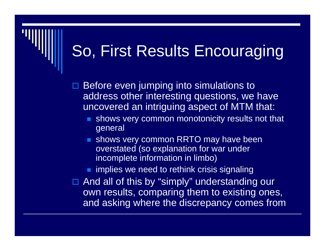# So, First Results Encouraging

 $\blacksquare$  Before even jumping into simulations to address other interesting questions, we have uncovered an intriguing aspect of MTM that:

- P. shows very common monotonicity results not that general
- **shows very common RRTO may have been** overstated (so explanation for war under incomplete information in limbo)
- implies we need to rethink crisis signaling

□ And all of this by "simply" understanding our own results, comparing them to existing ones, and asking where the discrepancy comes from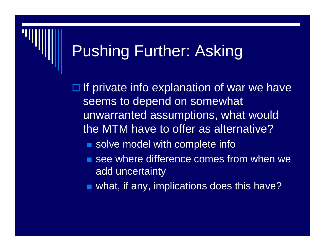#### Pushing Further: Asking

 $\Box$  If private info explanation of war we have seems to depend on somewhat unwarranted assumptions, what would the MTM have to offer as alternative?

- solve model with complete info
- **See where difference comes from when we** add uncertainty
- what, if any, implications does this have?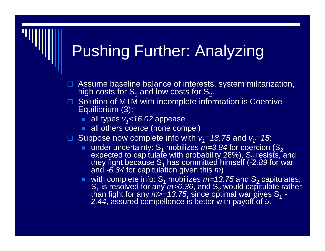## Pushing Further: Analyzing

- $\blacksquare$  Assume baseline balance of interests, system militarization, high costs for  $\mathsf{S}_\mathsf{1}$  and low costs for  $\mathsf{S}_\mathsf{2}.$
- □ Solution of MTM with incomplete information is Coercive Equilibrium (3):
	- all types *v<sub>1</sub><16.0*2 appease
	- all others coerce (none compel)
- □ Suppose now complete info with  $v_1 = 18.75$  and  $v_2 = 15$ :
	- under uncertainty:  $S_1$  mobilizes  $m=3.84$  for coercion (S<sub>2</sub> expected to capitulate with probability 28%),  $\mathsf{S}_2$  resists, expected to capitulate with probability 28%), S<sub>2</sub> resists, and<br>they fight because S<sub>1</sub> has committed himself (*-2.89* for war they fight because S<sub>1</sub> has committed himself (*-*2*.89* for war<br>and *-6.34* for capitulation given this *m*)
	- with complete info:  $S_1$  mobilizes  $m=13.75$  and  $S_2$  capitulates; S1 is resolved for any *m>0.36*, and S 2S<sub>1</sub> is resolved for any *m>0.36*, and S<sub>2</sub> would capitulate rather<br>than fight for any *m>=13.75*; since optimal war gives S<sub>1</sub> -*- 2.44*, assured compellence is better with payoff of *5*.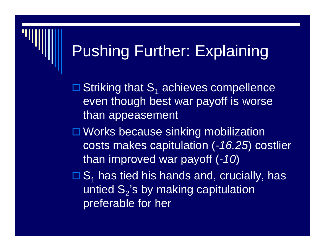# Pushing Further: Explaining

 $\square$  Striking that  $S_1$  achieves compellence even though best war payoff is worse than appeasement

□ Works because sinking mobilization costs makes capitulation (*-16.25*) costlier than improved war payoff (*-10*)

 $\Box S_1$  has tied his hands and, crucially, has untied  $\mathsf{S}_2$ 's by making capitulation\_ preferable for her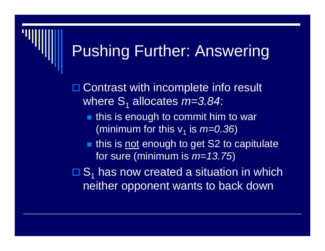#### Pushing Further: Answering

□ Contrast with incomplete info result where S 1 allocates *m=3.84*:

- $\blacksquare$  this is enough to commit him to war (minimum for this v1 is *m=0.36*)
- this is not enough to get S2 to capitulate for sure (minimum is *m=13.75*)

 $\Box S_1$  has now created a situation in which neither opponent wants to back down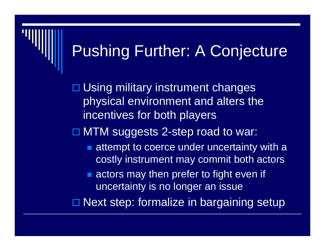#### Pushing Further: A Conjecture

□ Using military instrument changes physical environment and alters the incentives for both players

□ MTM suggests 2-step road to war:

- **Example to coerce under uncertainty with a** costly instrument may commit both actors
- **actors may then prefer to fight even if** uncertainty is no longer an issue

□ Next step: formalize in bargaining setup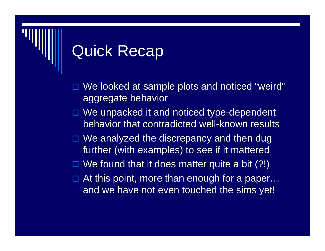### Quick Recap

- $\blacksquare$  We looked at sample plots and noticed "weird" aggregate behavior
- □ We unpacked it and noticed type-dependent behavior that contradicted well-known results
- □ We analyzed the discrepancy and then dug further (with examples) to see if it mattered
- □ We found that it does matter quite a bit (?!)
- $\blacksquare$  At this point, more than enough for a paper… and we have not even touched the sims yet!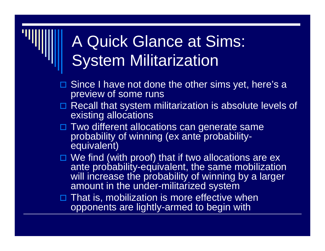## A Quick Glance at Sims: System Militarization

- □ Since I have not done the other sims yet, here's a preview of some runs
- □ Recall that system militarization is absolute levels of existing allocations
- □ Two different allocations can generate same probability of winning (ex ante probabilityequivalent)
- □ We find (with proof) that if two allocations are ex ante probability-equivalent, the same mobilization will increase the probability of winning by a larger amount in the under-militarized system
- $\Box$  That is, mobilization is more effective when opponents are lightly-armed to begin with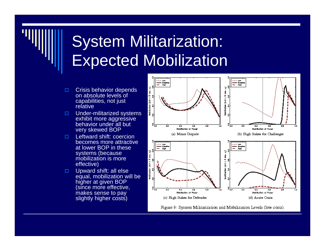## System Militarization: Expected Mobilization

- $\Box$  Crisis behavior depends on absolute levels of capabilities, not just relative
- $\Box$  Under-militarized systems exhibit more aggressive behavior under all but very skewed BOP
- $\Box$  Leftward shift: coercion becomes more attractive at lower BOP in these systems (because mobilization is more effective)
- П. Upward shift: all else equal, mobilization will be higher at given BOP (since more effective, makes sense to pay slightly higher costs)



Figure 9: System Militarization and Mobilization Levels (low costs).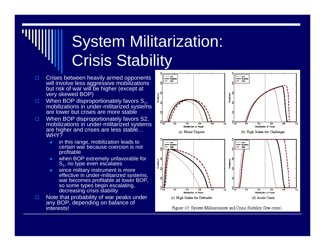# System Militarization: **Crisis Stability**

- $\Box$  $\Box$  Crises between heavily armed opponents will involve less aggressive mobilizations but risk of war will be higher (except at very skewed BOP)
- $\Box$ When BOP disproportionately favors  $S_1$ , mobilizations in under-militarized systems are lower but crises are more stable
- □  $\Box$  When BOP disproportionately favors S2, mobilizations in under-militarized systems are higher and crises are less stable… WHY<sub>7</sub>
	- ш. in this range, mobilization leads to certain war because coercion is not profitable
	- m. when BOP extremely unfavorable for  $S<sub>1</sub>$ , no type even escalates
	- m. since military instrument is more effective in under-militarized systems, war becomes profitable at lower BOP, so some types begin escalating, decreasing crisis stability
- $\Box$  Note that probability of war peaks under any BOP, depending on balance of interests!



Figure 10: System Militarization and Crisis Stability (low costs).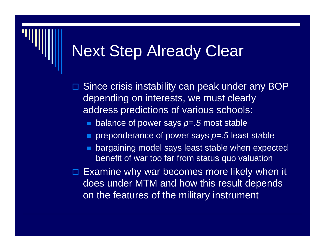#### Next Step Already Clear

 $\blacksquare$  Since crisis instability can peak under any BOP depending on interests, we must clearly address predictions of various schools:

- $\mathbb{R}^2$ balance of power says *p=.5* most stable
- preponderance of power says *p=.5* least stable
- bargaining model says least stable when expected benefit of war too far from status quo valuation

 $\square$  Examine why war becomes more likely when it does under MTM and how this result depends on the features of the military instrument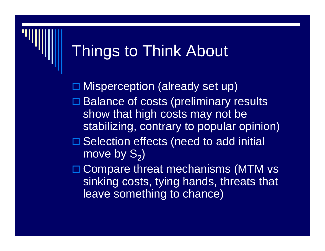#### Things to Think About

□ Misperception (already set up) □ Balance of costs (preliminary results show that high costs may not be stabilizing, contrary to popular opinion) □ Selection effects (need to add initial move by  $\mathbf{S}_2)$ □ Compare threat mechanisms (MTM vs

sinking costs, tying hands, threats that

leave something to chance)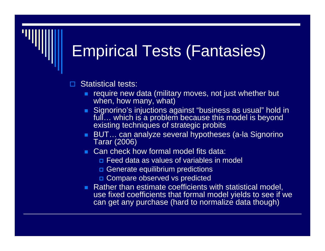## Empirical Tests (Fantasies)

 $\blacksquare$ Statistical tests:

- **Form Prequire new data (military moves, not just whether but** when, how many, what)
- Signorino's injuctions against "business as usual" hold in full… which is a problem because this model is beyond existing techniques of strategic probits
- BUT… can analyze several hypotheses (a-la Signorino Tarar (2006)
- **Can check how formal model fits data:** 
	- **□** Feed data as values of variables in model
	- **D** Generate equilibrium predictions
	- **□ Compare observed vs predicted**
- **Rather than estimate coefficients with statistical model,** use fixed coefficients that formal model yields to see if we can get any purchase (hard to normalize data though)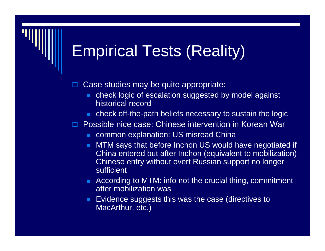## Empirical Tests (Reality)

- $\blacksquare$  Case studies may be quite appropriate:
	- check logic of escalation suggested by model against historical record
	- check off-the-path beliefs necessary to sustain the logic
- □ Possible nice case: Chinese intervention in Korean War
	- common explanation: US misread China
	- MTM says that before Inchon US would have negotiated if China entered but after Inchon (equivalent to mobilization) Chinese entry without overt Russian support no longer sufficient
	- **According to MTM: info not the crucial thing, commitment** after mobilization was
	- Evidence suggests this was the case (directives to MacArthur, etc.)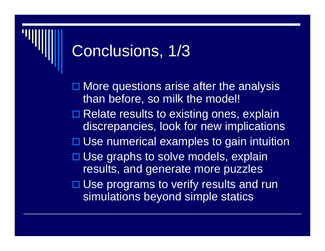#### Conclusions, 1/3

□ More questions arise after the analysis than before, so milk the model! □ Relate results to existing ones, explain discrepancies, look for new implications □ Use numerical examples to gain intuition □ Use graphs to solve models, explain results, and generate more puzzles □ Use programs to verify results and run simulations beyond simple statics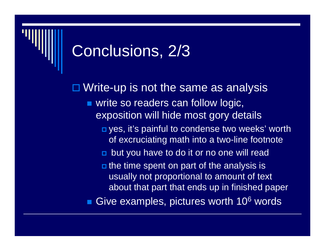### Conclusions, 2/3

□ Write-up is not the same as analysis **vice so readers can follow logic,** exposition will hide most gory details **□** yes, it's painful to condense two weeks' worth of excruciating math into a two-line footnote **D** but you have to do it or no one will read **n** the time spent on part of the analysis is usually not proportional to amount of text about that part that ends up in finished paper ■ Give examples, pictures worth 10<sup>6</sup> words